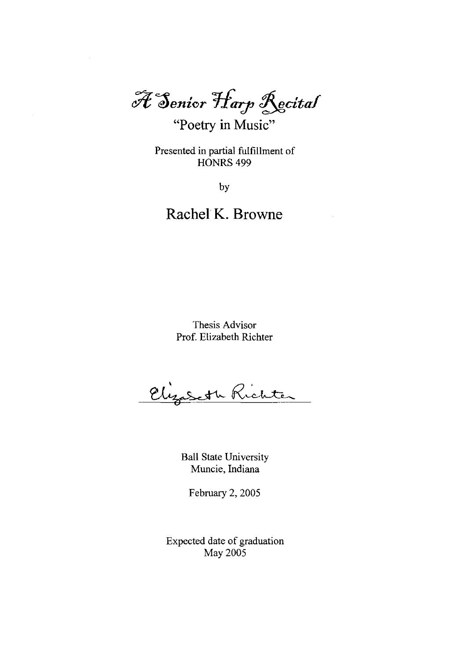$\widetilde{\mathscr{H}}$  Senior Harp Recital

"Poetry **in** Music"

Presented in partial fulfillment of HONRS<sub>499</sub>

by

# **Rachel K. Browne**

Thesis Advisor Prof. Elizabeth Richter

Elizabeth Richter

Ball State University Muncie, Indiana

February 2, 2005

Expected date of graduation May 2005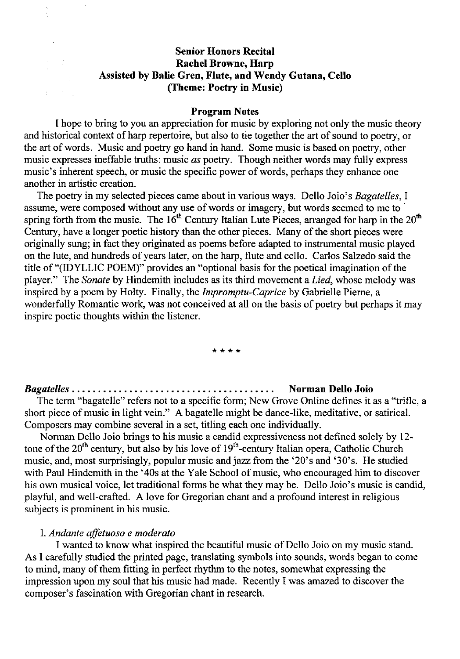## **Senior Honors Recital Rachel Browne, Harp Assisted by Balie Gren, Flute, and Wendy Gutana, Cello (Theme: Poetry in Music)**

#### **Program Notes**

I hope to bring to you an appreciation for music by exploring not only the music theory and historical context of harp repertoire, but also to tie together the art of sound to poetry, or the art of words. Music and poetry go hand in hand. Some music is based on poetry, other music expresses ineffable truths: music *as* poetry. Though neither words may fully express music's inherent speech, or music the specific power of words, perhaps they enhance one another in artistic creation.

The poetry in my selected pieces came about in various ways. Delio Joio's *Bagatelles,* I assume, were composed without any use of words or imagery, but words seemed to me to' spring forth from the music. The  $16<sup>th</sup>$  Century Italian Lute Pieces, arranged for harp in the  $20<sup>th</sup>$ Century, have a longer poetic history than the other pieces. Many of the short pieces were originally sung; in fact they originated as poems before adapted to instrumental music played on the lute, and hundreds of years later, on the harp, flute and cello. Carlos Salzedo said the title of "(IDYLLIC POEM)" provides an "optional basis for the poetical imagination of the player." The *Sonate* by Hindemith includes as its third movement a *Lied,* whose melody was inspired by a poem by Holty. Finally, the *Impromptu-Caprice* by Gabrielle Pieme, a wonderfully Romantic work, was not conceived at all on the basis of poetry but perhaps it may inspire poetic thoughts within the listener.

#### **\*\*\*\***

## *Bagatelles.* . . • • . . . • . . . . . . • . . . . . . . . . . . . . . • . . . . • • • . **Norman Delio Joio**

The term "bagatelle" refers not to a specific form; New Grove Online defines it as a "trifle, a short piece of music in light vein." A bagatelle might be dance-like, meditative, or satirical. Composers may combine several in a set, titling each one individually.

Norman Delio Joio brings to his music a candid expressiveness not defined solely by 12 tone of the 20<sup>th</sup> century, but also by his love of 19<sup>th</sup>-century Italian opera, Catholic Church music, and, most surprisingly, popular music and jazz from the '20's and '30's. He studied with Paul Hindemith in the '40s at the Yale School of music, who encouraged him to discover his own musical voice, let traditional forms be what they may be. Delio Joio's music is candid, playful, and well-crafted. A love for Gregorian chant and a profound interest in religious subjects is prominent in his music.

#### I. *Andante affetuoso e moderato*

I wanted to know what inspired the beautiful music of Delio Joio on my music stand. As I carefully studied the printed page, translating symbols into sounds, words began to come to mind, many of them fitting in perfect rhythm to the notes, somewhat expressing the impression upon my soul that his music had made. Recently I was amazed to discover the composer's fascination with Gregorian chant in research.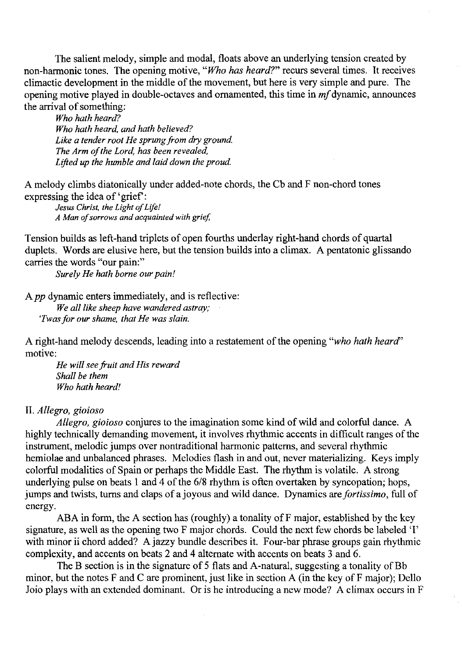The salient melody, simple and modal, floats above an underlying tension created by non-harmonic tones. The opening motive, *"Who has heard?"* recurs several times. It receives climactic development in the middle of the movement, but here is very simple and pure. The opening motive played in double-octaves and ornamented, this time in *mf* dynamic, announces the arrival of something:

*Who hath heard? Who hath heard. and hath believed?*  Like a tender root He sprung from dry ground. *The Arm of the Lord. has been revealed. Lifted up the humble and laid down the proud.* 

A melody climbs diatonically under added-note chords, the Cb and F non-chord tones expressing the idea of 'grief':

*Jesus Christ. the Light of Life! A Man of sorrows and acquainted with grief* 

Tension builds as left-hand triplets of open fourths underlay right-hand chords of quartal duplets. Words are elusive here, but the tension builds into a climax. A pentatonic glissando carries the words "our pain:"

*Surely He hath borne our pain!* 

A *pp* dynamic enters immediately, and is reflective:

*We aI/like sheep have wandered astray; 'Twas for our shame. that He was slain.* 

A right-hand melody descends, leading into a restatement of the opening *"who hath heard'*  motive:

*He will see fruit and His reward Shall be them Who hath heard!* 

#### II. *Allegro, gioioso*

*Allegro. gioioso* conjures to the imagination some kind of wild and colorful dance. A highly technically demanding movement, it involves rhythmic accents in difficult ranges of the instrument, melodic jumps over nontraditional harmonic patterns, and several rhythmic hemiolae and unbalanced phrases. Melodies flash in and out, never materializing. Keys imply colorful modalities of Spain or perhaps the Middle East. The rhythm is volatile. A strong underlying pulse on beats 1 and 4 of the 6/8 rhythm is often overtaken by syncopation; hops, jumps and twists, turns and claps of a joyous and wild dance. Dynamics are *fortissimo,* full of energy.

ABA in form, the A section has (roughly) a tonality of F major, established by the key signature, as well as the opening two F major chords. Could the next few chords be labeled 'I' with minor ii chord added? A jazzy bundle describes it. Four-bar phrase groups gain rhythmic complexity, and accents on beats 2 and 4 alternate with accents on beats 3 and 6.

The B section is in the signature of 5 flats and A-natural, suggesting a tonality of Bb minor, but the notes F and C are prominent, just like in section A (in the key of F major); Delio Joio plays with an extended dominant. Or is he introducing a new mode? A climax occurs in F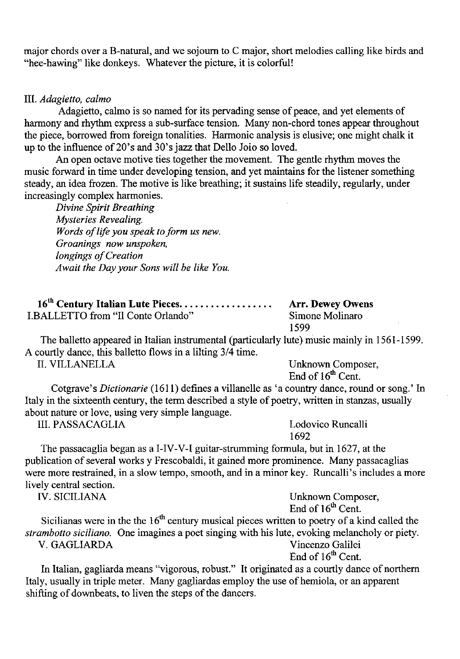major chords over a B-natural, and we sojourn to C major, short melodies calling like birds and "hee-hawing" like donkeys. Whatever the picture, it is colorful!

#### III. *Adagietto, calmo*

Adagietto, calmo is so named for its pervading sense of peace, and yet elements of harmony and rhythm express a sub-surface tension. Many non-chord tones appear throughout the piece, borrowed from foreign tonalities. Harmonic analysis is elusive; one might chalk it up to the influence of 20's and 30's jazz that Delio Joio so loved.

An open octave motive ties together the movement. The gentle rhythm moves the music forward in time under developing tension, and yet maintains for the listener something steady, an idea frozen. The motive is like breathing; it sustains life steadily, regularly, under increasingly complex harmonies.

*Divine Spirit Breathing Mysteries Revealing. Words of life you speak to form us new. Groanings now unspoken, longings of Creation Await the Day your Sons will be like You.* 

| 16 <sup>th</sup> Century Italian Lute Pieces | <b>Arr. Dewey Owens</b> |
|----------------------------------------------|-------------------------|
| <b>I.BALLETTO from "Il Conte Orlando"</b>    | Simone Molinaro         |
|                                              | 1599                    |

The balletto appeared in Italian instrumental (particularly lute) music mainly in 1561-1599. A courtly dance, this balletto flows in a lilting 3/4 time.

II. VILLANELLA Unknown Composer, End of  $16<sup>th</sup>$  Cent.

Cotgrave's *Dictionarie* (1611) defines a villanelle as 'a country dance, round or song.' In Italy in the sixteenth century, the term described a style of poetry, written in stanzas, usually about nature or love, using very simple language.

III. PASSACAGLIA Lodovico Runcalli 1692

The passacaglia began as a I-IV-V-I guitar-strumming formula, but in 1627, at the publication of several works y Frescobaldi, it gained more prominence. Many passacaglias were more restrained, in a slow tempo, smooth, and in a minor key. Runcalli's includes a more lively central section.<br>IV. SICILIANA

Unknown Composer, End of  $16<sup>th</sup>$  Cent.

Sicilianas were in the the  $16<sup>th</sup>$  century musical pieces written to poetry of a kind called the *strambotto siciliano.* One imagines a poet singing with his lute, evoking melancholy or piety. V. GAGLIARDA Vincenzo Galilei

End of 16<sup>th</sup> Cent.

In Italian, gagliarda means "vigorous, robust." It originated as a courtly dance of northern Italy, usually in triple meter. Many gagliardas employ the use of hemiola, or an apparent shifting of downbeats, to liven the steps of the dancers.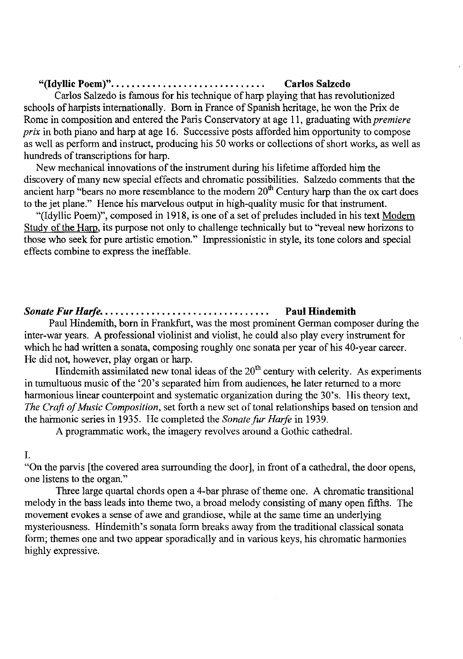#### **"(Idyllic Poem)".** . . . . . . . . . . . . . . . . . . . . . . . . . . . . . **Carlos Salzedo**

Carlos Salzedo is famous for his technique of harp playing that has revolutionized schools of harpists internationally. Born in France of Spanish heritage, he won the Prix de Rome in composition and entered the Paris Conservatory at age 11, graduating with *premiere prix* in both piano and harp at age 16. Successive posts afforded him opportunity to compose as well as perform and instruct, producing his 50 works or collections of short works, as well as hundreds of transcriptions for harp.

New mechanical innovations of the instrument during his lifetime afforded him the discovery of many new special effects and chromatic possibilities. Salzedo comments that the ancient harp "bears no more resemblance to the modern  $20<sup>th</sup>$  Century harp than the ox cart does to the jet plane." Hence his marvelous output in high-quality music for that instrument.

"(Idyllic Poem)", composed in 1918, is one of a set of preludes included in his text Modem Study of the Harp, its purpose not only to challenge technically but to "reveal new horizons to those who seek for pure artistic emotion." Impressionistic in style, its tone colors and special effects combine to express the ineffable.

## *Sonate Fur Harle.* . . . . . . . . . . . . . . . . . . . . . . . . . . . . . . . . **Paul Hindemith**

Paul Hindemith, born in Frankfurt, was the most prominent German composer during the inter-war years. A professional violinist and violist, he could also play every instrument for which he had written a sonata, composing roughly one sonata per year of his 40-year career. He did not, however, play organ or harp.

Hindemith assimilated new tonal ideas of the  $20<sup>th</sup>$  century with celerity. As experiments in tumultuous music of the '20's separated him from audiences, he later returned to a more harmonious linear counterpoint and systematic organization during the 30's. His theory text, *The Craft of Music Composition,* set forth a new set of tonal relationships based on tension and the haimonic series in 1935. He completed the *Sonatefur Harfe* in 1939.

A programmatic work, the imagery revolves around a Gothic cathedral.

#### I.

"On the parvis [the covered area surrounding the door], in front of a cathedral, the door opens, one listens to the organ."

Three large quartal chords open a 4-bar phrase of theme one. A chromatic transitional melody in the bass leads into theme two, a broad melody consisting of many open fifths. The movement evokes a sense of awe and grandiose, while at the same time an underlying mysteriousness. Hindemith's sonata form breaks away from the traditional classical sonata form; themes one and two appear sporadically and in various keys, his chromatic harmonies highly expressive.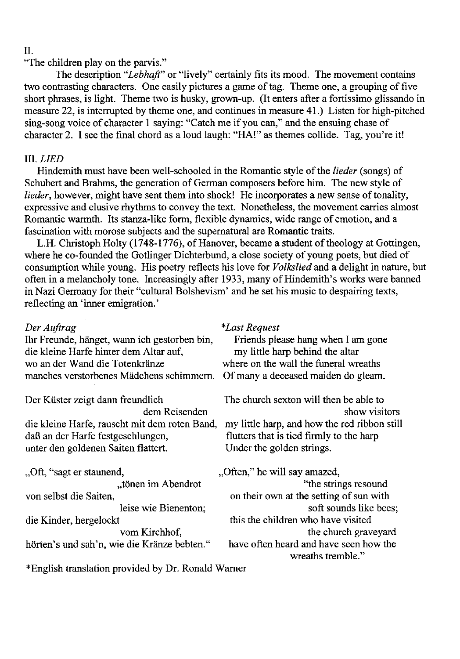#### II.

"The children play on the parvis."

The description *"Lebhaft"* or "lively" certainly fits its mood. The movement contains two contrasting characters. One easily pictures a game of tag. Theme one, a grouping of five short phrases, is light. Theme two is husky, grown-up. (It enters after a fortissimo glissando in measure 22, is interrupted by theme one, and continues in measure 41.) Listen for high-pitched sing-song voice of character 1 saying: "Catch me if you can," and the ensuing chase of character 2. I see the final chord as a loud laugh: "HA!" as themes collide. Tag, you're it!

#### III. *LIED*

Hindemith must have been well-schooled in the Romantic style of the *lieder* (songs) of Schubert and Brahms, the generation of German composers before him. The new style of *lieder*, however, might have sent them into shock! He incorporates a new sense of tonality, expressive and elusive rhythms to convey the text. Nonetheless, the movement carries almost Romantic warmth. Its stanza-like form, flexible dynamics, wide range of emotion, and a fascination with morose subjects and the supernatural are Romantic traits.

L.H. Christoph Holty (1748-1776), of Hanover, became a student of theology at Gottingen, where he co-founded the Gotlinger Dichterbund, a close society of young poets, but died of consumption while young. His poetry reflects his love for *Volkslied* and a delight in nature, but often in a melancholy tone. Increasingly after 1933, many of Hindemith's works were banned in Nazi Germany for their "cultural Bolshevism' and he set his music to despairing texts, reflecting an 'inner emigration.'

| Der Auftrag                                   | <i>*Last Request</i>                                        |
|-----------------------------------------------|-------------------------------------------------------------|
| Ihr Freunde, hänget, wann ich gestorben bin,  | Friends please hang when I am gone                          |
| die kleine Harfe hinter dem Altar auf,        | my little harp behind the altar                             |
| wo an der Wand die Totenkränze                | where on the wall the funeral wreaths                       |
| manches verstorbenes Mädchens schimmern.      | Of many a deceased maiden do gleam.                         |
| Der Küster zeigt dann freundlich              | The church sexton will then be able to                      |
| dem Reisenden                                 | show visitors                                               |
| die kleine Harfe, rauscht mit dem roten Band, | my little harp, and how the red ribbon still                |
| daß an der Harfe festgeschlungen,             | flutters that is tied firmly to the harp                    |
| unter den goldenen Saiten flattert.           | Under the golden strings.                                   |
| "Oft, "sagt er staunend,                      | "Often," he will say amazed,                                |
| "tönen im Abendrot                            | "the strings resound                                        |
| von selbst die Saiten,                        | on their own at the setting of sun with                     |
| leise wie Bienenton;                          | soft sounds like bees;                                      |
| die Kinder, hergelockt                        | this the children who have visited                          |
| vom Kirchhof,                                 | the church graveyard                                        |
| hörten's und sah'n, wie die Kränze bebten."   | have often heard and have seen how the<br>wreaths tremble." |

\*English translation provided by Dr. Ronald Warner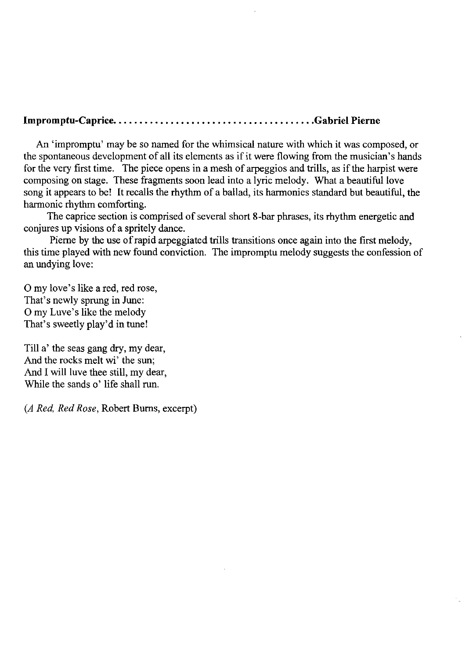## **Impromptu-Caprice .** ..................................... **. Gabriel Pierne**

An 'impromptu' may be so named for the whimsical nature with which it was composed, or the spontaneous development of all its elements as if it were flowing from the musician's hands for the very first time. The piece opens in a mesh of arpeggios and trills, as if the harpist were composing on stage. These fragments soon lead into a lyric melody. What a beautiful love song it appears to be! It recalls the rhythm of a ballad, its harmonies standard but beautiful, the harmonic rhythm comforting.

The caprice section is comprised of several short 8-bar phrases, its rhythm energetic and conjures up visions of a spritely dance.

Pierne by the use of rapid arpeggiated trills transitions once again into the first melody, this time played with new found conviction. The impromptu melody suggests the confession of an undying love:

o my love's like a red, red rose, That's newly sprung in June: o my Luve's like the melody That's sweetly play'd in tune!

Till a' the seas gang dry, my dear, And the rocks melt wi' the sun; And I will luve thee still, my dear, While the sands o' life shall run.

*(A Red, Red Rose,* Robert Burns, excerpt)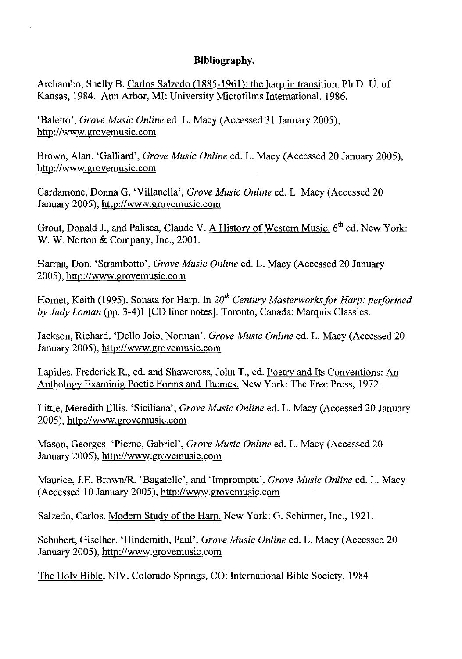### **Bibliography.**

Archambo, Shelly B. Carlos Salzedo (1885-1961): the harp in transition. Ph.D: U. of Kansas, 1984. Ann Arbor, MI: University Microfilms International, 1986.

'BaIetto', *Grove Music Online* ed. L. Macy (Accessed 31 January 2005), http://www.grovemusic.com

Brown, Alan. 'Galliard', *Grove Music Online* ed. L. Macy (Accessed 20 January 2005), http://www.grovemusic.com

Cardamone, Donna G. 'Villanella', *Grove Music Online* ed. L. Macy (Accessed 20 January 2005), http://www.grovemusic.com

Grout, Donald J., and Palisca, Claude V. A History of Western Music. 6<sup>th</sup> ed. New York: W. W. Norton & Company, Inc., 2001.

Harran, Don. 'Strambotto', *Grove Music Online* ed. L. Macy (Accessed 20 January 2005), http://www.grovemusic.com

Homer, Keith (1995). Sonata for Harp. In *2dh Century Masterworks for Harp: performed by Judy Loman* (pp. 3-4) 1 [CD liner notes]. Toronto, Canada: Marquis Classics.

Jackson, Richard. 'Delio Joio, Norman', *Grove Music Online* ed. L. Macy (Accessed 20 January 2005), http://www.grovemusic.com

Lapides, Frederick R., ed. and Shawcross, John T., ed. Poetry and Its Conventions: An Anthology Examinig Poetic Forms and Themes. New York: The Free Press, 1972.

Little, Meredith Ellis. 'Siciliana', *Grove Music Online* ed. L. Macy (Accessed 20 January 2005), http://www.grovemusic.com

Mason, Georges. 'Pierne, Gabriel', *Grove Music Online* ed. L. Macy (Accessed 20 January 2005), http://www.grovemusic.com

Maurice, lE. BrownlR. 'Bagatelle', and 'Impromptu', *Grove Music Online* ed. L. Macy (Accessed 10 January 2005), http://www.grovemusic.com

SaIzedo, Carlos. Modem Study of the Harp. New York: G. Schirmer, Inc., 1921.

Schubert, Giselher. 'Hindemith, Paul', *Grove Music Online* ed. L. Macy (Accessed 20 January 2005), http://www.grovemusic.com

The Holy Bible, NIV. Colorado Springs, CO: International Bible Society, 1984